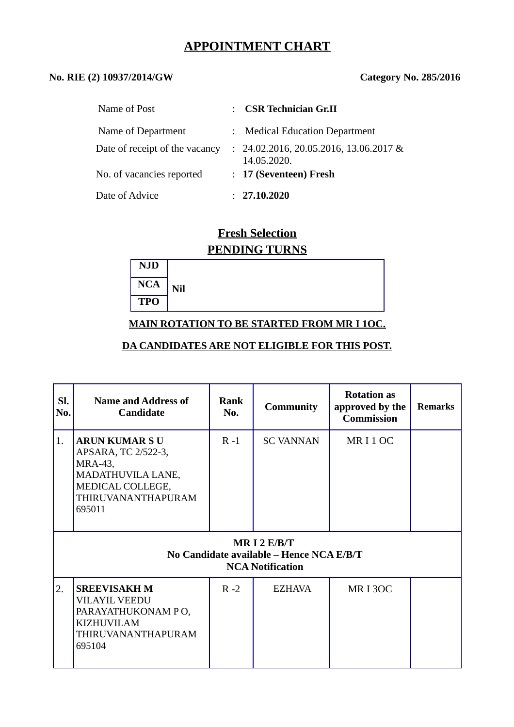# **APPOINTMENT CHART**

# **No. RIE (2) 10937/2014/GW Category No. 285/2016**

| Name of Post                   | : CSR Technician Gr.II                                  |
|--------------------------------|---------------------------------------------------------|
| Name of Department             | : Medical Education Department                          |
| Date of receipt of the vacancy | $: 24.02.2016, 20.05.2016, 13.06.2017$ &<br>14.05.2020. |
| No. of vacancies reported      | : 17 (Seventeen) Fresh                                  |
| Date of Advice                 | : 27.10.2020                                            |

# **Fresh Selection PENDING TURNS**

| <b>NJD</b> |     |
|------------|-----|
| <b>NCA</b> | Nil |
| <b>TPO</b> |     |

# **MAIN ROTATION TO BE STARTED FROM MR I 1OC.**

#### **DA CANDIDATES ARE NOT ELIGIBLE FOR THIS POST.**

| SI.<br>No. | <b>Name and Address of</b><br><b>Candidate</b>                                                                                 | <b>Rank</b><br>No. | <b>Community</b> | <b>Rotation as</b><br>approved by the<br><b>Commission</b> | <b>Remarks</b> |  |  |
|------------|--------------------------------------------------------------------------------------------------------------------------------|--------------------|------------------|------------------------------------------------------------|----------------|--|--|
| 1.         | <b>ARUN KUMARSU</b><br>APSARA, TC 2/522-3,<br>MRA-43,<br>MADATHUVILA LANE,<br>MEDICAL COLLEGE,<br>THIRUVANANTHAPURAM<br>695011 | $R - 1$            | <b>SC VANNAN</b> | MR <sub>I1</sub> OC                                        |                |  |  |
|            | MR I 2 $E/B/T$<br>No Candidate available - Hence NCA E/B/T<br><b>NCA Notification</b>                                          |                    |                  |                                                            |                |  |  |
| 2.         | <b>SREEVISAKH M</b><br><b>VILAYIL VEEDU</b><br>PARAYATHUKONAM PO,<br><b>KIZHUVILAM</b><br>THIRUVANANTHAPURAM<br>695104         | $R - 2$            | <b>EZHAVA</b>    | <b>MRI3OC</b>                                              |                |  |  |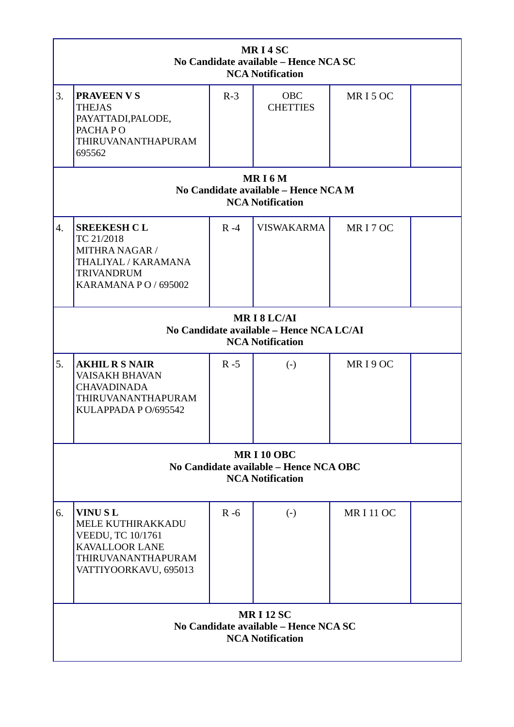| MRI4SC<br>No Candidate available - Hence NCA SC<br><b>NCA Notification</b>            |                                                                                                                                      |         |                        |                     |  |  |  |  |
|---------------------------------------------------------------------------------------|--------------------------------------------------------------------------------------------------------------------------------------|---------|------------------------|---------------------|--|--|--|--|
| 3.                                                                                    | <b>PRAVEEN V S</b><br><b>THEJAS</b><br>PAYATTADI, PALODE,<br>PACHAPO<br>THIRUVANANTHAPURAM<br>695562                                 | $R-3$   | OBC<br><b>CHETTIES</b> | MR <sub>I5</sub> OC |  |  |  |  |
|                                                                                       | MRI6M<br>No Candidate available - Hence NCA M<br><b>NCA Notification</b>                                                             |         |                        |                     |  |  |  |  |
| $\overline{4}$ .                                                                      | <b>SREEKESH CL</b><br>TC 21/2018<br><b>MITHRA NAGAR /</b><br>THALIYAL / KARAMANA<br><b>TRIVANDRUM</b><br><b>KARAMANA PO / 695002</b> | $R - 4$ | <b>VISWAKARMA</b>      | MRI7OC              |  |  |  |  |
| MRI8LC/AI<br>No Candidate available - Hence NCA LC/AI<br><b>NCA Notification</b>      |                                                                                                                                      |         |                        |                     |  |  |  |  |
| 5.                                                                                    | <b>AKHIL R S NAIR</b><br><b>VAISAKH BHAVAN</b><br><b>CHAVADINADA</b><br>THIRUVANANTHAPURAM<br>KULAPPADA P O/695542                   | $R - 5$ | $(-)$                  | MRI9OC              |  |  |  |  |
| <b>MRI10 OBC</b><br>No Candidate available - Hence NCA OBC<br><b>NCA Notification</b> |                                                                                                                                      |         |                        |                     |  |  |  |  |
| 6.                                                                                    | <b>VINUSL</b><br>MELE KUTHIRAKKADU<br>VEEDU, TC 10/1761<br><b>KAVALLOOR LANE</b><br>THIRUVANANTHAPURAM<br>VATTIYOORKAVU, 695013      | $R - 6$ | $\left( -\right)$      | <b>MRI11OC</b>      |  |  |  |  |
|                                                                                       | <b>MRI12 SC</b><br>No Candidate available - Hence NCA SC<br><b>NCA Notification</b>                                                  |         |                        |                     |  |  |  |  |